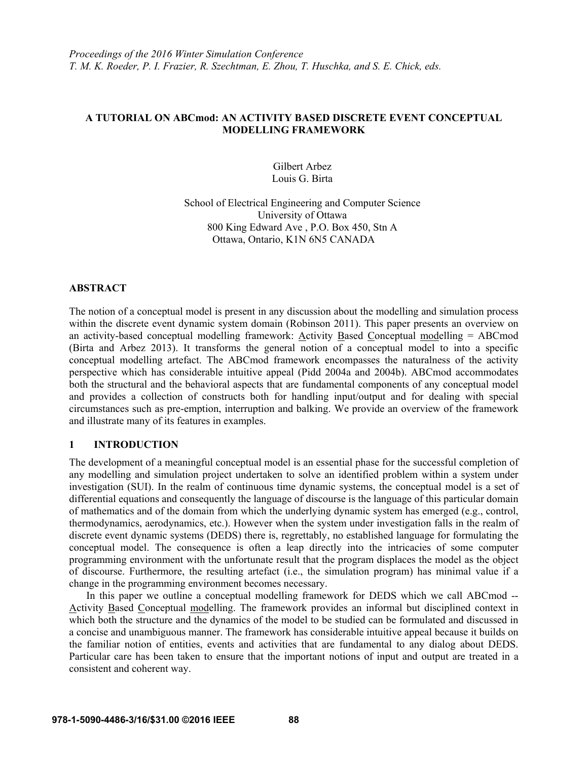# **A TUTORIAL ON ABCmod: AN ACTIVITY BASED DISCRETE EVENT CONCEPTUAL MODELLING FRAMEWORK**

Gilbert Arbez Louis G. Birta

School of Electrical Engineering and Computer Science University of Ottawa 800 King Edward Ave , P.O. Box 450, Stn A Ottawa, Ontario, K1N 6N5 CANADA

# **ABSTRACT**

The notion of a conceptual model is present in any discussion about the modelling and simulation process within the discrete event dynamic system domain (Robinson 2011). This paper presents an overview on an activity-based conceptual modelling framework: Activity Based Conceptual modelling = ABCmod (Birta and Arbez 2013). It transforms the general notion of a conceptual model to into a specific conceptual modelling artefact. The ABCmod framework encompasses the naturalness of the activity perspective which has considerable intuitive appeal (Pidd 2004a and 2004b). ABCmod accommodates both the structural and the behavioral aspects that are fundamental components of any conceptual model and provides a collection of constructs both for handling input/output and for dealing with special circumstances such as pre-emption, interruption and balking. We provide an overview of the framework and illustrate many of its features in examples.

# **1 INTRODUCTION**

The development of a meaningful conceptual model is an essential phase for the successful completion of any modelling and simulation project undertaken to solve an identified problem within a system under investigation (SUI). In the realm of continuous time dynamic systems, the conceptual model is a set of differential equations and consequently the language of discourse is the language of this particular domain of mathematics and of the domain from which the underlying dynamic system has emerged (e.g., control, thermodynamics, aerodynamics, etc.). However when the system under investigation falls in the realm of discrete event dynamic systems (DEDS) there is, regrettably, no established language for formulating the conceptual model. The consequence is often a leap directly into the intricacies of some computer programming environment with the unfortunate result that the program displaces the model as the object of discourse. Furthermore, the resulting artefact (i.e., the simulation program) has minimal value if a change in the programming environment becomes necessary.

In this paper we outline a conceptual modelling framework for DEDS which we call ABCmod -- Activity Based Conceptual modelling. The framework provides an informal but disciplined context in which both the structure and the dynamics of the model to be studied can be formulated and discussed in a concise and unambiguous manner. The framework has considerable intuitive appeal because it builds on the familiar notion of entities, events and activities that are fundamental to any dialog about DEDS. Particular care has been taken to ensure that the important notions of input and output are treated in a consistent and coherent way.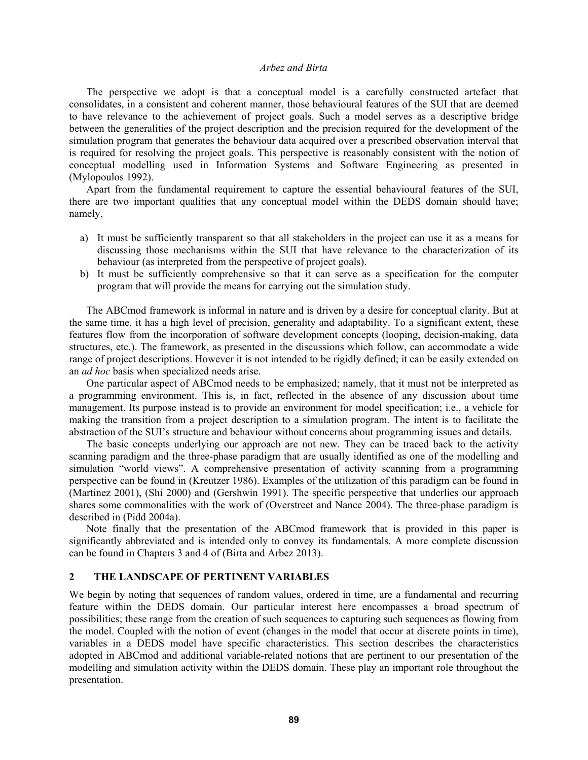The perspective we adopt is that a conceptual model is a carefully constructed artefact that consolidates, in a consistent and coherent manner, those behavioural features of the SUI that are deemed to have relevance to the achievement of project goals. Such a model serves as a descriptive bridge between the generalities of the project description and the precision required for the development of the simulation program that generates the behaviour data acquired over a prescribed observation interval that is required for resolving the project goals. This perspective is reasonably consistent with the notion of conceptual modelling used in Information Systems and Software Engineering as presented in (Mylopoulos 1992).

Apart from the fundamental requirement to capture the essential behavioural features of the SUI, there are two important qualities that any conceptual model within the DEDS domain should have; namely,

- a) It must be sufficiently transparent so that all stakeholders in the project can use it as a means for discussing those mechanisms within the SUI that have relevance to the characterization of its behaviour (as interpreted from the perspective of project goals).
- b) It must be sufficiently comprehensive so that it can serve as a specification for the computer program that will provide the means for carrying out the simulation study.

The ABCmod framework is informal in nature and is driven by a desire for conceptual clarity. But at the same time, it has a high level of precision, generality and adaptability. To a significant extent, these features flow from the incorporation of software development concepts (looping, decision-making, data structures, etc.). The framework, as presented in the discussions which follow, can accommodate a wide range of project descriptions. However it is not intended to be rigidly defined; it can be easily extended on an *ad hoc* basis when specialized needs arise.

One particular aspect of ABCmod needs to be emphasized; namely, that it must not be interpreted as a programming environment. This is, in fact, reflected in the absence of any discussion about time management. Its purpose instead is to provide an environment for model specification; i.e., a vehicle for making the transition from a project description to a simulation program. The intent is to facilitate the abstraction of the SUI's structure and behaviour without concerns about programming issues and details.

The basic concepts underlying our approach are not new. They can be traced back to the activity scanning paradigm and the three-phase paradigm that are usually identified as one of the modelling and simulation "world views". A comprehensive presentation of activity scanning from a programming perspective can be found in (Kreutzer 1986). Examples of the utilization of this paradigm can be found in (Martinez 2001), (Shi 2000) and (Gershwin 1991). The specific perspective that underlies our approach shares some commonalities with the work of (Overstreet and Nance 2004). The three-phase paradigm is described in (Pidd 2004a).

Note finally that the presentation of the ABCmod framework that is provided in this paper is significantly abbreviated and is intended only to convey its fundamentals. A more complete discussion can be found in Chapters 3 and 4 of (Birta and Arbez 2013).

## **2 THE LANDSCAPE OF PERTINENT VARIABLES**

We begin by noting that sequences of random values, ordered in time, are a fundamental and recurring feature within the DEDS domain. Our particular interest here encompasses a broad spectrum of possibilities; these range from the creation of such sequences to capturing such sequences as flowing from the model. Coupled with the notion of event (changes in the model that occur at discrete points in time), variables in a DEDS model have specific characteristics. This section describes the characteristics adopted in ABCmod and additional variable-related notions that are pertinent to our presentation of the modelling and simulation activity within the DEDS domain. These play an important role throughout the presentation.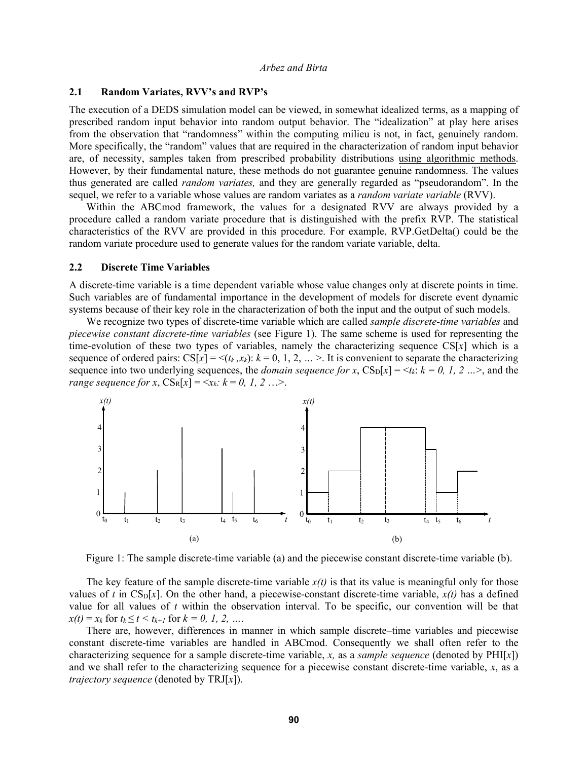## **2.1 Random Variates, RVV's and RVP's**

The execution of a DEDS simulation model can be viewed, in somewhat idealized terms, as a mapping of prescribed random input behavior into random output behavior. The "idealization" at play here arises from the observation that "randomness" within the computing milieu is not, in fact, genuinely random. More specifically, the "random" values that are required in the characterization of random input behavior are, of necessity, samples taken from prescribed probability distributions using algorithmic methods. However, by their fundamental nature, these methods do not guarantee genuine randomness. The values thus generated are called *random variates,* and they are generally regarded as "pseudorandom". In the sequel, we refer to a variable whose values are random variates as a *random variate variable* (RVV).

Within the ABCmod framework, the values for a designated RVV are always provided by a procedure called a random variate procedure that is distinguished with the prefix RVP. The statistical characteristics of the RVV are provided in this procedure. For example, RVP.GetDelta() could be the random variate procedure used to generate values for the random variate variable, delta.

#### **2.2 Discrete Time Variables**

A discrete-time variable is a time dependent variable whose value changes only at discrete points in time. Such variables are of fundamental importance in the development of models for discrete event dynamic systems because of their key role in the characterization of both the input and the output of such models.

We recognize two types of discrete-time variable which are called *sample discrete-time variables* and *piecewise constant discrete-time variables* (see Figure 1). The same scheme is used for representing the time-evolution of these two types of variables, namely the characterizing sequence  $CS[x]$  which is a sequence of ordered pairs:  $CS[x] = \langle (t_k, x_k) : k = 0, 1, 2, \ldots \rangle$ . It is convenient to separate the characterizing sequence into two underlying sequences, the *domain sequence for x*,  $CS<sub>D</sub>[x] = \langle t_k : k = 0, 1, 2 ... \rangle$ , and the *range sequence for x*,  $CS_R[x] = \langle x_k : k = 0, 1, 2 \ldots \rangle$ .



Figure 1: The sample discrete-time variable (a) and the piecewise constant discrete-time variable (b).

The key feature of the sample discrete-time variable  $x(t)$  is that its value is meaningful only for those values of *t* in  $CS<sub>D</sub>[x]$ . On the other hand, a piecewise-constant discrete-time variable,  $x(t)$  has a defined value for all values of *t* within the observation interval. To be specific, our convention will be that  $x(t) = x_k$  for  $t_k \le t < t_{k+1}$  for  $k = 0, 1, 2, ...$ 

There are, however, differences in manner in which sample discrete–time variables and piecewise constant discrete-time variables are handled in ABCmod. Consequently we shall often refer to the characterizing sequence for a sample discrete-time variable, *x,* as a *sample sequence* (denoted by PHI[*x*]) and we shall refer to the characterizing sequence for a piecewise constant discrete-time variable, *x*, as a *trajectory sequence* (denoted by TRJ[*x*]).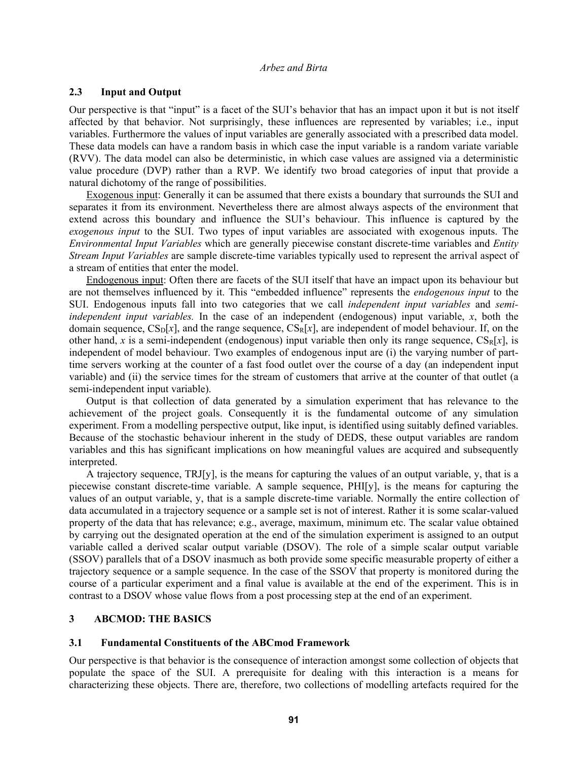# **2.3 Input and Output**

Our perspective is that "input" is a facet of the SUI's behavior that has an impact upon it but is not itself affected by that behavior. Not surprisingly, these influences are represented by variables; i.e., input variables. Furthermore the values of input variables are generally associated with a prescribed data model. These data models can have a random basis in which case the input variable is a random variate variable (RVV). The data model can also be deterministic, in which case values are assigned via a deterministic value procedure (DVP) rather than a RVP. We identify two broad categories of input that provide a natural dichotomy of the range of possibilities.

Exogenous input: Generally it can be assumed that there exists a boundary that surrounds the SUI and separates it from its environment. Nevertheless there are almost always aspects of the environment that extend across this boundary and influence the SUI's behaviour. This influence is captured by the *exogenous input* to the SUI. Two types of input variables are associated with exogenous inputs. The *Environmental Input Variables* which are generally piecewise constant discrete-time variables and *Entity Stream Input Variables* are sample discrete-time variables typically used to represent the arrival aspect of a stream of entities that enter the model.

Endogenous input: Often there are facets of the SUI itself that have an impact upon its behaviour but are not themselves influenced by it. This "embedded influence" represents the *endogenous input* to the SUI. Endogenous inputs fall into two categories that we call *independent input variables* and *semiindependent input variables.* In the case of an independent (endogenous) input variable, *x*, both the domain sequence,  $CS<sub>D</sub>[x]$ , and the range sequence,  $CS<sub>R</sub>[x]$ , are independent of model behaviour. If, on the other hand, x is a semi-independent (endogenous) input variable then only its range sequence,  $CS_R[x]$ , is independent of model behaviour. Two examples of endogenous input are (i) the varying number of parttime servers working at the counter of a fast food outlet over the course of a day (an independent input variable) and (ii) the service times for the stream of customers that arrive at the counter of that outlet (a semi-independent input variable).

Output is that collection of data generated by a simulation experiment that has relevance to the achievement of the project goals. Consequently it is the fundamental outcome of any simulation experiment. From a modelling perspective output, like input, is identified using suitably defined variables. Because of the stochastic behaviour inherent in the study of DEDS, these output variables are random variables and this has significant implications on how meaningful values are acquired and subsequently interpreted.

A trajectory sequence, TRJ[y], is the means for capturing the values of an output variable, y, that is a piecewise constant discrete-time variable. A sample sequence, PHI[y], is the means for capturing the values of an output variable, y, that is a sample discrete-time variable. Normally the entire collection of data accumulated in a trajectory sequence or a sample set is not of interest. Rather it is some scalar-valued property of the data that has relevance; e.g., average, maximum, minimum etc. The scalar value obtained by carrying out the designated operation at the end of the simulation experiment is assigned to an output variable called a derived scalar output variable (DSOV). The role of a simple scalar output variable (SSOV) parallels that of a DSOV inasmuch as both provide some specific measurable property of either a trajectory sequence or a sample sequence. In the case of the SSOV that property is monitored during the course of a particular experiment and a final value is available at the end of the experiment. This is in contrast to a DSOV whose value flows from a post processing step at the end of an experiment.

# **3 ABCMOD: THE BASICS**

#### **3.1 Fundamental Constituents of the ABCmod Framework**

Our perspective is that behavior is the consequence of interaction amongst some collection of objects that populate the space of the SUI. A prerequisite for dealing with this interaction is a means for characterizing these objects. There are, therefore, two collections of modelling artefacts required for the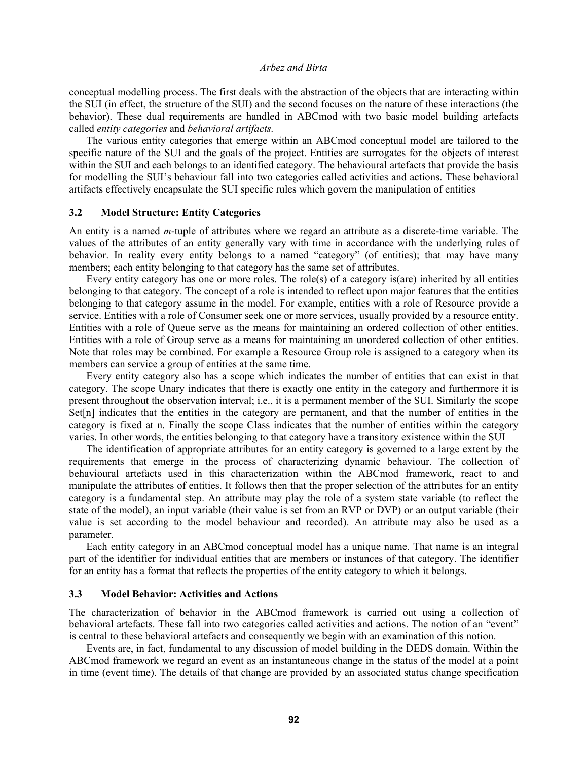conceptual modelling process. The first deals with the abstraction of the objects that are interacting within the SUI (in effect, the structure of the SUI) and the second focuses on the nature of these interactions (the behavior). These dual requirements are handled in ABCmod with two basic model building artefacts called *entity categories* and *behavioral artifacts.*

The various entity categories that emerge within an ABCmod conceptual model are tailored to the specific nature of the SUI and the goals of the project. Entities are surrogates for the objects of interest within the SUI and each belongs to an identified category. The behavioural artefacts that provide the basis for modelling the SUI's behaviour fall into two categories called activities and actions. These behavioral artifacts effectively encapsulate the SUI specific rules which govern the manipulation of entities

## **3.2 Model Structure: Entity Categories**

An entity is a named *m*-tuple of attributes where we regard an attribute as a discrete-time variable. The values of the attributes of an entity generally vary with time in accordance with the underlying rules of behavior. In reality every entity belongs to a named "category" (of entities); that may have many members; each entity belonging to that category has the same set of attributes.

Every entity category has one or more roles. The role(s) of a category is(are) inherited by all entities belonging to that category. The concept of a role is intended to reflect upon major features that the entities belonging to that category assume in the model. For example, entities with a role of Resource provide a service. Entities with a role of Consumer seek one or more services, usually provided by a resource entity. Entities with a role of Queue serve as the means for maintaining an ordered collection of other entities. Entities with a role of Group serve as a means for maintaining an unordered collection of other entities. Note that roles may be combined. For example a Resource Group role is assigned to a category when its members can service a group of entities at the same time.

Every entity category also has a scope which indicates the number of entities that can exist in that category. The scope Unary indicates that there is exactly one entity in the category and furthermore it is present throughout the observation interval; i.e., it is a permanent member of the SUI. Similarly the scope Set[n] indicates that the entities in the category are permanent, and that the number of entities in the category is fixed at n. Finally the scope Class indicates that the number of entities within the category varies. In other words, the entities belonging to that category have a transitory existence within the SUI

The identification of appropriate attributes for an entity category is governed to a large extent by the requirements that emerge in the process of characterizing dynamic behaviour. The collection of behavioural artefacts used in this characterization within the ABCmod framework, react to and manipulate the attributes of entities. It follows then that the proper selection of the attributes for an entity category is a fundamental step. An attribute may play the role of a system state variable (to reflect the state of the model), an input variable (their value is set from an RVP or DVP) or an output variable (their value is set according to the model behaviour and recorded). An attribute may also be used as a parameter.

Each entity category in an ABCmod conceptual model has a unique name. That name is an integral part of the identifier for individual entities that are members or instances of that category. The identifier for an entity has a format that reflects the properties of the entity category to which it belongs.

#### **3.3 Model Behavior: Activities and Actions**

The characterization of behavior in the ABCmod framework is carried out using a collection of behavioral artefacts. These fall into two categories called activities and actions. The notion of an "event" is central to these behavioral artefacts and consequently we begin with an examination of this notion.

Events are, in fact, fundamental to any discussion of model building in the DEDS domain. Within the ABCmod framework we regard an event as an instantaneous change in the status of the model at a point in time (event time). The details of that change are provided by an associated status change specification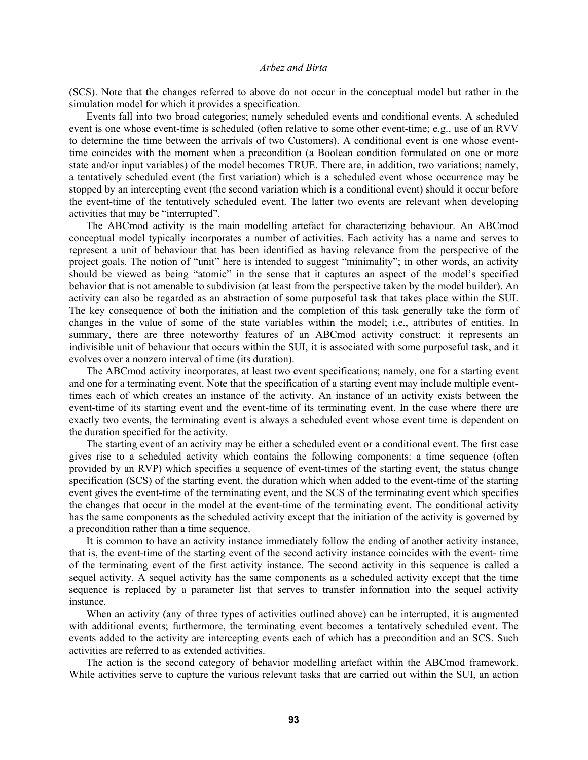(SCS). Note that the changes referred to above do not occur in the conceptual model but rather in the simulation model for which it provides a specification.

Events fall into two broad categories; namely scheduled events and conditional events. A scheduled event is one whose event-time is scheduled (often relative to some other event-time; e.g., use of an RVV to determine the time between the arrivals of two Customers). A conditional event is one whose eventtime coincides with the moment when a precondition (a Boolean condition formulated on one or more state and/or input variables) of the model becomes TRUE. There are, in addition, two variations; namely, a tentatively scheduled event (the first variation) which is a scheduled event whose occurrence may be stopped by an intercepting event (the second variation which is a conditional event) should it occur before the event-time of the tentatively scheduled event. The latter two events are relevant when developing activities that may be "interrupted".

The ABCmod activity is the main modelling artefact for characterizing behaviour. An ABCmod conceptual model typically incorporates a number of activities. Each activity has a name and serves to represent a unit of behaviour that has been identified as having relevance from the perspective of the project goals. The notion of "unit" here is intended to suggest "minimality"; in other words, an activity should be viewed as being "atomic" in the sense that it captures an aspect of the model's specified behavior that is not amenable to subdivision (at least from the perspective taken by the model builder). An activity can also be regarded as an abstraction of some purposeful task that takes place within the SUI. The key consequence of both the initiation and the completion of this task generally take the form of changes in the value of some of the state variables within the model; i.e., attributes of entities. In summary, there are three noteworthy features of an ABCmod activity construct: it represents an indivisible unit of behaviour that occurs within the SUI, it is associated with some purposeful task, and it evolves over a nonzero interval of time (its duration).

The ABCmod activity incorporates, at least two event specifications; namely, one for a starting event and one for a terminating event. Note that the specification of a starting event may include multiple eventtimes each of which creates an instance of the activity. An instance of an activity exists between the event-time of its starting event and the event-time of its terminating event. In the case where there are exactly two events, the terminating event is always a scheduled event whose event time is dependent on the duration specified for the activity.

The starting event of an activity may be either a scheduled event or a conditional event. The first case gives rise to a scheduled activity which contains the following components: a time sequence (often provided by an RVP) which specifies a sequence of event-times of the starting event, the status change specification (SCS) of the starting event, the duration which when added to the event-time of the starting event gives the event-time of the terminating event, and the SCS of the terminating event which specifies the changes that occur in the model at the event-time of the terminating event. The conditional activity has the same components as the scheduled activity except that the initiation of the activity is governed by a precondition rather than a time sequence.

It is common to have an activity instance immediately follow the ending of another activity instance, that is, the event-time of the starting event of the second activity instance coincides with the event- time of the terminating event of the first activity instance. The second activity in this sequence is called a sequel activity. A sequel activity has the same components as a scheduled activity except that the time sequence is replaced by a parameter list that serves to transfer information into the sequel activity instance.

When an activity (any of three types of activities outlined above) can be interrupted, it is augmented with additional events; furthermore, the terminating event becomes a tentatively scheduled event. The events added to the activity are intercepting events each of which has a precondition and an SCS. Such activities are referred to as extended activities.

The action is the second category of behavior modelling artefact within the ABCmod framework. While activities serve to capture the various relevant tasks that are carried out within the SUI, an action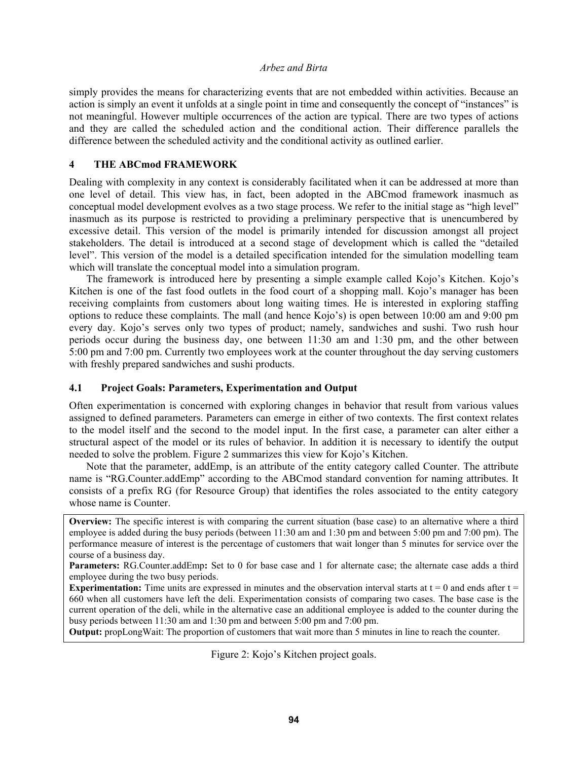simply provides the means for characterizing events that are not embedded within activities. Because an action is simply an event it unfolds at a single point in time and consequently the concept of "instances" is not meaningful. However multiple occurrences of the action are typical. There are two types of actions and they are called the scheduled action and the conditional action. Their difference parallels the difference between the scheduled activity and the conditional activity as outlined earlier.

## **4 THE ABCmod FRAMEWORK**

Dealing with complexity in any context is considerably facilitated when it can be addressed at more than one level of detail. This view has, in fact, been adopted in the ABCmod framework inasmuch as conceptual model development evolves as a two stage process. We refer to the initial stage as "high level" inasmuch as its purpose is restricted to providing a preliminary perspective that is unencumbered by excessive detail. This version of the model is primarily intended for discussion amongst all project stakeholders. The detail is introduced at a second stage of development which is called the "detailed level". This version of the model is a detailed specification intended for the simulation modelling team which will translate the conceptual model into a simulation program.

The framework is introduced here by presenting a simple example called Kojo's Kitchen. Kojo's Kitchen is one of the fast food outlets in the food court of a shopping mall. Kojo's manager has been receiving complaints from customers about long waiting times. He is interested in exploring staffing options to reduce these complaints. The mall (and hence Kojo's) is open between 10:00 am and 9:00 pm every day. Kojo's serves only two types of product; namely, sandwiches and sushi. Two rush hour periods occur during the business day, one between 11:30 am and 1:30 pm, and the other between 5:00 pm and 7:00 pm. Currently two employees work at the counter throughout the day serving customers with freshly prepared sandwiches and sushi products.

# **4.1 Project Goals: Parameters, Experimentation and Output**

Often experimentation is concerned with exploring changes in behavior that result from various values assigned to defined parameters. Parameters can emerge in either of two contexts. The first context relates to the model itself and the second to the model input. In the first case, a parameter can alter either a structural aspect of the model or its rules of behavior. In addition it is necessary to identify the output needed to solve the problem. Figure 2 summarizes this view for Kojo's Kitchen.

Note that the parameter, addEmp, is an attribute of the entity category called Counter. The attribute name is "RG.Counter.addEmp" according to the ABCmod standard convention for naming attributes. It consists of a prefix RG (for Resource Group) that identifies the roles associated to the entity category whose name is Counter.

**Overview:** The specific interest is with comparing the current situation (base case) to an alternative where a third employee is added during the busy periods (between 11:30 am and 1:30 pm and between 5:00 pm and 7:00 pm). The performance measure of interest is the percentage of customers that wait longer than 5 minutes for service over the course of a business day.

**Parameters:** RG.Counter.addEmp**:** Set to 0 for base case and 1 for alternate case; the alternate case adds a third employee during the two busy periods.

**Experimentation:** Time units are expressed in minutes and the observation interval starts at  $t = 0$  and ends after  $t =$ 660 when all customers have left the deli. Experimentation consists of comparing two cases. The base case is the current operation of the deli, while in the alternative case an additional employee is added to the counter during the busy periods between 11:30 am and 1:30 pm and between 5:00 pm and 7:00 pm.

**Output:** propLongWait: The proportion of customers that wait more than 5 minutes in line to reach the counter.

Figure 2: Kojo's Kitchen project goals.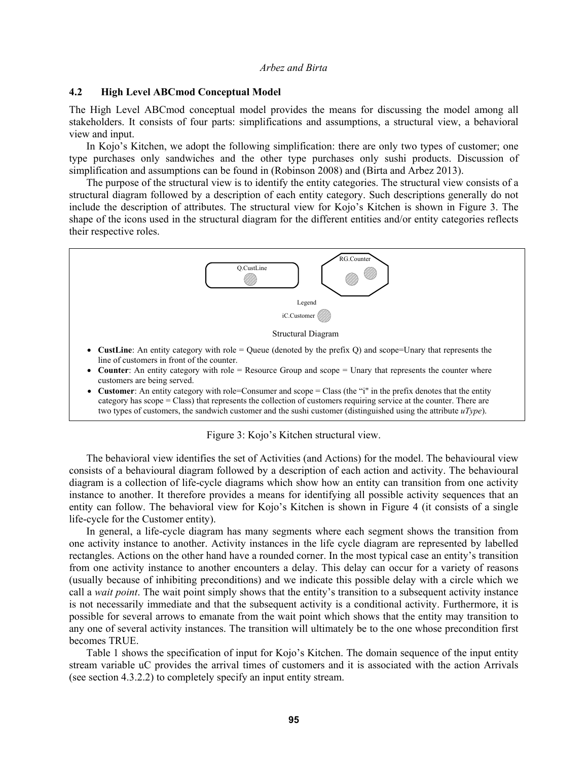## **4.2 High Level ABCmod Conceptual Model**

The High Level ABCmod conceptual model provides the means for discussing the model among all stakeholders. It consists of four parts: simplifications and assumptions, a structural view, a behavioral view and input.

In Kojo's Kitchen, we adopt the following simplification: there are only two types of customer; one type purchases only sandwiches and the other type purchases only sushi products. Discussion of simplification and assumptions can be found in (Robinson 2008) and (Birta and Arbez 2013).

The purpose of the structural view is to identify the entity categories. The structural view consists of a structural diagram followed by a description of each entity category. Such descriptions generally do not include the description of attributes. The structural view for Kojo's Kitchen is shown in Figure 3. The shape of the icons used in the structural diagram for the different entities and/or entity categories reflects their respective roles.



category has scope = Class) that represents the collection of customers requiring service at the counter. There are two types of customers, the sandwich customer and the sushi customer (distinguished using the attribute *uType*).

#### Figure 3: Kojo's Kitchen structural view.

The behavioral view identifies the set of Activities (and Actions) for the model. The behavioural view consists of a behavioural diagram followed by a description of each action and activity. The behavioural diagram is a collection of life-cycle diagrams which show how an entity can transition from one activity instance to another. It therefore provides a means for identifying all possible activity sequences that an entity can follow. The behavioral view for Kojo's Kitchen is shown in Figure 4 (it consists of a single life-cycle for the Customer entity).

In general, a life-cycle diagram has many segments where each segment shows the transition from one activity instance to another. Activity instances in the life cycle diagram are represented by labelled rectangles. Actions on the other hand have a rounded corner. In the most typical case an entity's transition from one activity instance to another encounters a delay. This delay can occur for a variety of reasons (usually because of inhibiting preconditions) and we indicate this possible delay with a circle which we call a *wait point*. The wait point simply shows that the entity's transition to a subsequent activity instance is not necessarily immediate and that the subsequent activity is a conditional activity. Furthermore, it is possible for several arrows to emanate from the wait point which shows that the entity may transition to any one of several activity instances. The transition will ultimately be to the one whose precondition first becomes TRUE.

Table 1 shows the specification of input for Kojo's Kitchen. The domain sequence of the input entity stream variable uC provides the arrival times of customers and it is associated with the action Arrivals (see section 4.3.2.2) to completely specify an input entity stream.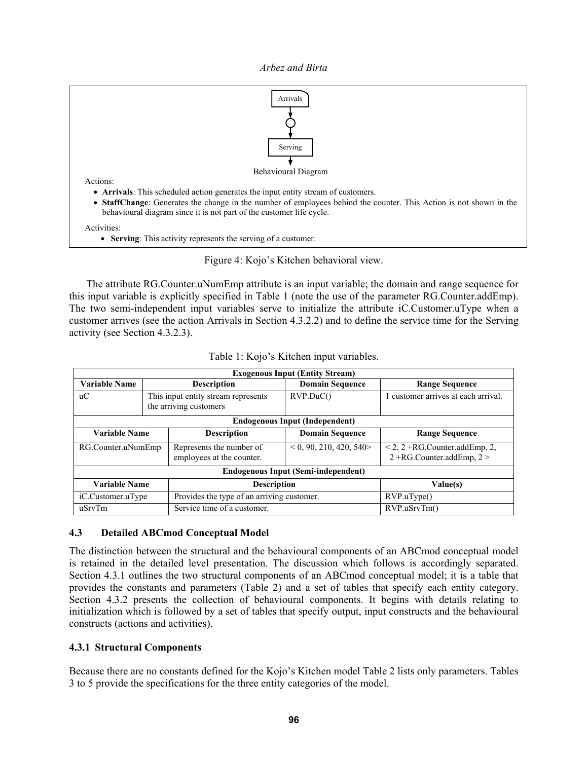

Figure 4: Kojo's Kitchen behavioral view.

The attribute RG.Counter.uNumEmp attribute is an input variable; the domain and range sequence for this input variable is explicitly specified in Table 1 (note the use of the parameter RG.Counter.addEmp). The two semi-independent input variables serve to initialize the attribute iC.Customer.uType when a customer arrives (see the action Arrivals in Section 4.3.2.2) and to define the service time for the Serving activity (see Section 4.3.2.3).

| <b>Exogenous Input (Entity Stream)</b> |                                                               |                                                       |                                       |                                                                         |  |
|----------------------------------------|---------------------------------------------------------------|-------------------------------------------------------|---------------------------------------|-------------------------------------------------------------------------|--|
| <b>Variable Name</b>                   | <b>Description</b>                                            |                                                       | <b>Domain Sequence</b>                | <b>Range Sequence</b>                                                   |  |
| uc                                     | This input entity stream represents<br>the arriving customers |                                                       | RVP.DuC()                             | 1 customer arrives at each arrival.                                     |  |
|                                        |                                                               |                                                       | <b>Endogenous Input (Independent)</b> |                                                                         |  |
| <b>Variable Name</b>                   |                                                               | <b>Description</b>                                    | <b>Domain Sequence</b>                | <b>Range Sequence</b>                                                   |  |
| RG.Counter.uNumEmp                     |                                                               | Represents the number of<br>employees at the counter. | < 0, 90, 210, 420, 540                | $<$ 2, 2 +RG. Counter. add Emp, 2,<br>$2 + RG$ . Counter. addEmp, $2 >$ |  |
|                                        | <b>Endogenous Input (Semi-independent)</b>                    |                                                       |                                       |                                                                         |  |
| Variable Name                          |                                                               | <b>Description</b>                                    |                                       | Value(s)                                                                |  |
| iC.Customer.uType                      |                                                               | Provides the type of an arriving customer.            |                                       | RVP.uType()                                                             |  |
| uSrvTm                                 |                                                               | Service time of a customer.                           |                                       | RVP.uSrvTm()                                                            |  |

| Table 1: Kojo's Kitchen input variables. |  |
|------------------------------------------|--|
|------------------------------------------|--|

# **4.3 Detailed ABCmod Conceptual Model**

The distinction between the structural and the behavioural components of an ABCmod conceptual model is retained in the detailed level presentation. The discussion which follows is accordingly separated. Section 4.3.1 outlines the two structural components of an ABCmod conceptual model; it is a table that provides the constants and parameters (Table 2) and a set of tables that specify each entity category. Section 4.3.2 presents the collection of behavioural components. It begins with details relating to initialization which is followed by a set of tables that specify output, input constructs and the behavioural constructs (actions and activities).

# **4.3.1 Structural Components**

Because there are no constants defined for the Kojo's Kitchen model Table 2 lists only parameters. Tables 3 to 5 provide the specifications for the three entity categories of the model.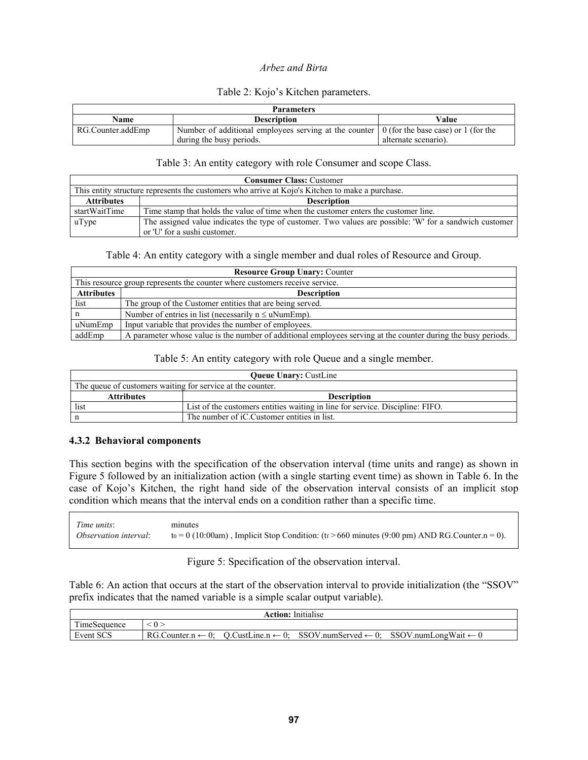# Table 2: Kojo's Kitchen parameters.

| <b>Parameters</b> |                                                                                                   |                      |  |
|-------------------|---------------------------------------------------------------------------------------------------|----------------------|--|
| <b>Name</b>       | <b>Description</b>                                                                                | Value                |  |
| RG.Counter.addEmp | Number of additional employees serving at the counter $\vert$ 0 (for the base case) or 1 (for the |                      |  |
|                   | during the busy periods.                                                                          | alternate scenario). |  |

### Table 3: An entity category with role Consumer and scope Class.

| <b>Consumer Class: Customer</b>                                                                 |                                                                                                         |  |
|-------------------------------------------------------------------------------------------------|---------------------------------------------------------------------------------------------------------|--|
| This entity structure represents the customers who arrive at Kojo's Kitchen to make a purchase. |                                                                                                         |  |
| <b>Attributes</b>                                                                               | <b>Description</b>                                                                                      |  |
| startWaitTime                                                                                   | Time stamp that holds the value of time when the customer enters the customer line.                     |  |
| uType                                                                                           | The assigned value indicates the type of customer. Two values are possible: 'W' for a sandwich customer |  |
|                                                                                                 | or 'U' for a sushi customer.                                                                            |  |

## Table 4: An entity category with a single member and dual roles of Resource and Group.

|                                                                             | <b>Resource Group Unary: Counter</b>                                                                          |  |  |
|-----------------------------------------------------------------------------|---------------------------------------------------------------------------------------------------------------|--|--|
| This resource group represents the counter where customers receive service. |                                                                                                               |  |  |
| <b>Attributes</b>                                                           | <b>Description</b>                                                                                            |  |  |
| list                                                                        | The group of the Customer entities that are being served.                                                     |  |  |
|                                                                             | Number of entries in list (necessarily $n \leq u$ NumEmp).                                                    |  |  |
| uNumEmp                                                                     | Input variable that provides the number of employees.                                                         |  |  |
| addEmp                                                                      | A parameter whose value is the number of additional employees serving at the counter during the busy periods. |  |  |

## Table 5: An entity category with role Queue and a single member.

| <b>Queue Unary: CustLine</b>                                                          |  |  |
|---------------------------------------------------------------------------------------|--|--|
| The queue of customers waiting for service at the counter.                            |  |  |
| <b>Attributes</b><br><b>Description</b>                                               |  |  |
| List of the customers entities waiting in line for service. Discipline: FIFO.<br>list |  |  |
| The number of iC. Customer entities in list.                                          |  |  |

## **4.3.2 Behavioral components**

This section begins with the specification of the observation interval (time units and range) as shown in Figure 5 followed by an initialization action (with a single starting event time) as shown in Table 6. In the case of Kojo's Kitchen, the right hand side of the observation interval consists of an implicit stop condition which means that the interval ends on a condition rather than a specific time.

*Time units*: minutes *Observation interval:*  $t_0 = 0$  (10:00am), Implicit Stop Condition:  $(t_f > 660$  minutes (9:00 pm) AND RG.Counter.n = 0).

## Figure 5: Specification of the observation interval.

Table 6: An action that occurs at the start of the observation interval to provide initialization (the "SSOV" prefix indicates that the named variable is a simple scalar output variable).

| <b>Action:</b> Initialise |                                                   |                              |                                 |                                 |
|---------------------------|---------------------------------------------------|------------------------------|---------------------------------|---------------------------------|
| TimeSequence              | 0 >                                               |                              |                                 |                                 |
| Event SCS                 | $RG$ . Counter $n \leftarrow 0$<br>$\mathbf{0}$ : | O.CustLine.n $\leftarrow$ 0: | SSOV.numServed $\leftarrow 0$ ; | SSOV.numLongWait $\leftarrow 0$ |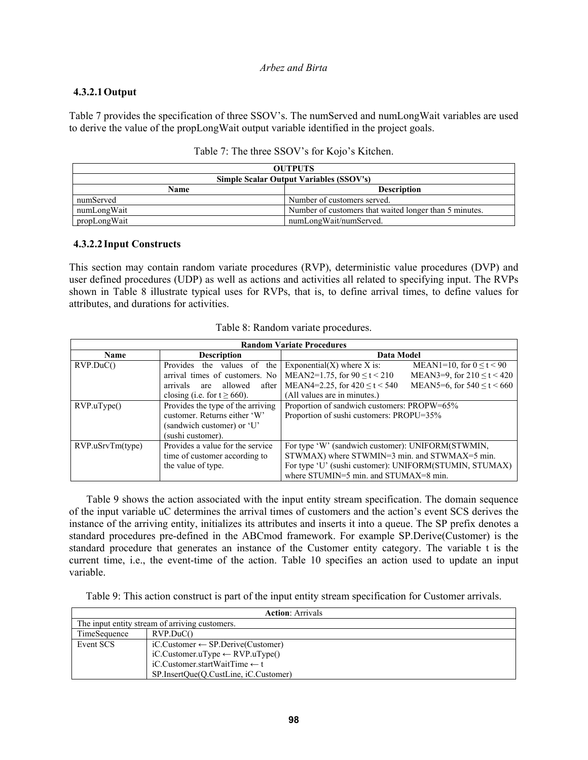# **4.3.2.1Output**

Table 7 provides the specification of three SSOV's. The numServed and numLongWait variables are used to derive the value of the propLongWait output variable identified in the project goals.

| <b>OUTPUTS</b>                          |                                                        |  |  |  |
|-----------------------------------------|--------------------------------------------------------|--|--|--|
| Simple Scalar Output Variables (SSOV's) |                                                        |  |  |  |
| <b>Description</b><br>Name              |                                                        |  |  |  |
| numServed                               | Number of customers served.                            |  |  |  |
| numLongWait                             | Number of customers that waited longer than 5 minutes. |  |  |  |
| propLongWait<br>numLongWait/numServed.  |                                                        |  |  |  |

## **4.3.2.2Input Constructs**

This section may contain random variate procedures (RVP), deterministic value procedures (DVP) and user defined procedures (UDP) as well as actions and activities all related to specifying input. The RVPs shown in Table 8 illustrate typical uses for RVPs, that is, to define arrival times, to define values for attributes, and durations for activities.

| <b>Random Variate Procedures</b> |                                                                 |                                                                     |                                                                |
|----------------------------------|-----------------------------------------------------------------|---------------------------------------------------------------------|----------------------------------------------------------------|
| <b>Name</b>                      | <b>Description</b>                                              | Data Model                                                          |                                                                |
| RVP.DuC()                        | Provides the values of<br>the<br>arrival times of customers. No | Exponential $(X)$ where $X$ is:<br>MEAN2=1.75, for $90 \le t < 210$ | MEAN1=10, for $0 \le t < 90$<br>MEAN3=9, for $210 \le t < 420$ |
|                                  | allowed<br>after<br>arrivals<br>are                             | MEAN4=2.25, for $420 \le t < 540$                                   | MEAN5=6, for $540 \le t \le 660$                               |
|                                  | closing (i.e. for $t \ge 660$ ).                                | (All values are in minutes.)                                        |                                                                |
| RVP.uType()                      | Provides the type of the arriving                               | Proportion of sandwich customers: PROPW=65%                         |                                                                |
|                                  | customer. Returns either 'W'                                    | Proportion of sushi customers: PROPU=35%                            |                                                                |
|                                  | (sandwich customer) or 'U'                                      |                                                                     |                                                                |
|                                  | (sushi customer).                                               |                                                                     |                                                                |
| RVP.uSrvTm(type)                 | Provides a value for the service                                | For type 'W' (sandwich customer): UNIFORM(STWMIN,                   |                                                                |
|                                  | time of customer according to                                   | STWMAX) where STWMIN=3 min. and STWMAX=5 min.                       |                                                                |
|                                  | the value of type.                                              | For type 'U' (sushi customer): UNIFORM(STUMIN, STUMAX)              |                                                                |
|                                  |                                                                 | where $STUMIN=5$ min. and $STUMAX=8$ min.                           |                                                                |

|  |  | Table 8: Random variate procedures. |
|--|--|-------------------------------------|
|  |  |                                     |

Table 9 shows the action associated with the input entity stream specification. The domain sequence of the input variable uC determines the arrival times of customers and the action's event SCS derives the instance of the arriving entity, initializes its attributes and inserts it into a queue. The SP prefix denotes a standard procedures pre-defined in the ABCmod framework. For example SP.Derive(Customer) is the standard procedure that generates an instance of the Customer entity category. The variable t is the current time, i.e., the event-time of the action. Table 10 specifies an action used to update an input variable.

Table 9: This action construct is part of the input entity stream specification for Customer arrivals.

| <b>Action: Arrivals</b>                        |                                              |  |
|------------------------------------------------|----------------------------------------------|--|
| The input entity stream of arriving customers. |                                              |  |
| RVP.DuC()<br>TimeSequence                      |                                              |  |
| Event SCS                                      | iC.Customer $\leftarrow$ SP.Derive(Customer) |  |
| iC.Customer.uType $\leftarrow$ RVP.uType()     |                                              |  |
| iC.Customer.startWaitTime $\leftarrow$ t       |                                              |  |
| SP.InsertOue(O.CustLine, iC.Customer)          |                                              |  |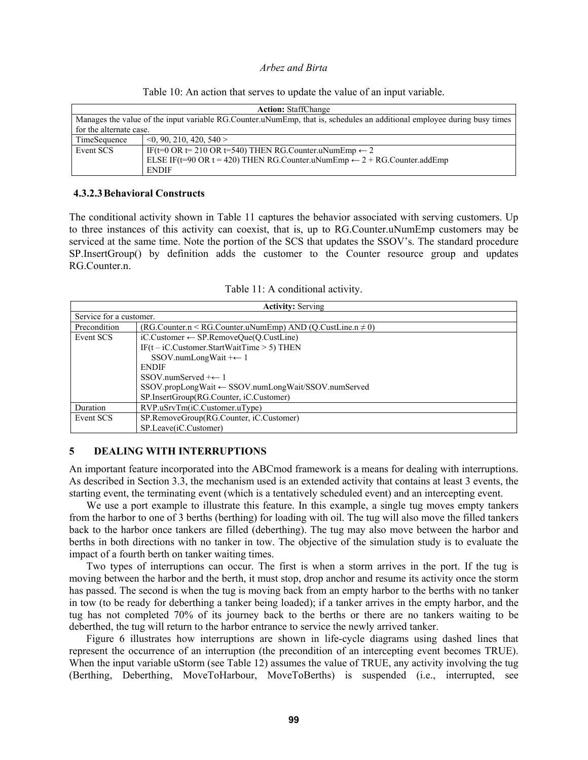|  |  | Table 10: An action that serves to update the value of an input variable. |
|--|--|---------------------------------------------------------------------------|
|  |  |                                                                           |

| <b>Action: StaffChange</b>                                                                                              |                                                                                              |  |  |  |
|-------------------------------------------------------------------------------------------------------------------------|----------------------------------------------------------------------------------------------|--|--|--|
| Manages the value of the input variable RG.Counter.uNumEmp, that is, schedules an additional employee during busy times |                                                                                              |  |  |  |
| for the alternate case.                                                                                                 |                                                                                              |  |  |  |
| TimeSequence                                                                                                            | $\leq$ 0, 90, 210, 420, 540 $>$                                                              |  |  |  |
| Event SCS                                                                                                               | IF(t=0 OR t= 210 OR t=540) THEN RG.Counter.uNumEmp $\leftarrow$ 2                            |  |  |  |
|                                                                                                                         | ELSE IF( $t=90$ OR $t = 420$ ) THEN RG. Counter uNumEmp $\leftarrow 2 + RG$ . Counter addEmp |  |  |  |
|                                                                                                                         | <b>ENDIF</b>                                                                                 |  |  |  |

#### **4.3.2.3Behavioral Constructs**

The conditional activity shown in Table 11 captures the behavior associated with serving customers. Up to three instances of this activity can coexist, that is, up to RG.Counter.uNumEmp customers may be serviced at the same time. Note the portion of the SCS that updates the SSOV's. The standard procedure SP.InsertGroup() by definition adds the customer to the Counter resource group and updates RG.Counter.n.

Table 11: A conditional activity.

| <b>Activity:</b> Serving |                                                                        |  |  |
|--------------------------|------------------------------------------------------------------------|--|--|
| Service for a customer.  |                                                                        |  |  |
| Precondition             | $(RG$ . Counter.n < RG. Counter.uNumEmp) AND (O. CustLine.n $\neq 0$ ) |  |  |
| Event SCS                | $iC$ . Customer $\leftarrow$ SP. RemoveOue(O. CustLine)                |  |  |
|                          | $IF(t - iC.Customer.StartWaitTime > 5) THEN$                           |  |  |
|                          | SSOV.numLongWait $+\leftarrow$ 1                                       |  |  |
|                          | <b>ENDIF</b>                                                           |  |  |
|                          | SSOV numServed $+\leftarrow$ 1                                         |  |  |
|                          | $SSOV$ .propLongWait $\leftarrow$ SSOV.numLongWait/SSOV.numServed      |  |  |
|                          | SP.InsertGroup(RG.Counter, iC.Customer)                                |  |  |
| Duration                 | RVP.uSrvTm(iC.Customer.uType)                                          |  |  |
| Event SCS                | SP.RemoveGroup(RG.Counter, iC.Customer)                                |  |  |
|                          | SP.Leave(iC.Customer)                                                  |  |  |

## **5 DEALING WITH INTERRUPTIONS**

An important feature incorporated into the ABCmod framework is a means for dealing with interruptions. As described in Section 3.3, the mechanism used is an extended activity that contains at least 3 events, the starting event, the terminating event (which is a tentatively scheduled event) and an intercepting event.

We use a port example to illustrate this feature. In this example, a single tug moves empty tankers from the harbor to one of 3 berths (berthing) for loading with oil. The tug will also move the filled tankers back to the harbor once tankers are filled (deberthing). The tug may also move between the harbor and berths in both directions with no tanker in tow. The objective of the simulation study is to evaluate the impact of a fourth berth on tanker waiting times.

Two types of interruptions can occur. The first is when a storm arrives in the port. If the tug is moving between the harbor and the berth, it must stop, drop anchor and resume its activity once the storm has passed. The second is when the tug is moving back from an empty harbor to the berths with no tanker in tow (to be ready for deberthing a tanker being loaded); if a tanker arrives in the empty harbor, and the tug has not completed 70% of its journey back to the berths or there are no tankers waiting to be deberthed, the tug will return to the harbor entrance to service the newly arrived tanker.

Figure 6 illustrates how interruptions are shown in life-cycle diagrams using dashed lines that represent the occurrence of an interruption (the precondition of an intercepting event becomes TRUE). When the input variable uStorm (see Table 12) assumes the value of TRUE, any activity involving the tug (Berthing, Deberthing, MoveToHarbour, MoveToBerths) is suspended (i.e., interrupted, see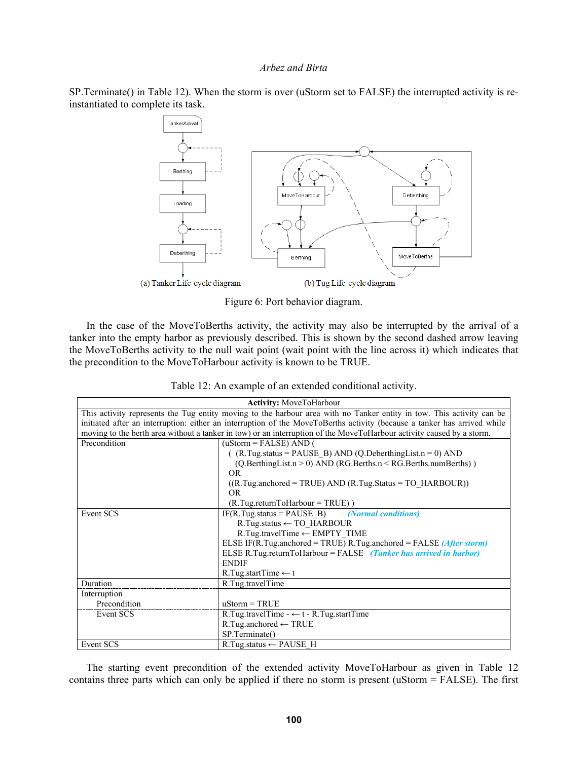SP.Terminate() in Table 12). When the storm is over (uStorm set to FALSE) the interrupted activity is reinstantiated to complete its task.



Figure 6: Port behavior diagram.

In the case of the MoveToBerths activity, the activity may also be interrupted by the arrival of a tanker into the empty harbor as previously described. This is shown by the second dashed arrow leaving the MoveToBerths activity to the null wait point (wait point with the line across it) which indicates that the precondition to the MoveToHarbour activity is known to be TRUE.

|  |  | Table 12: An example of an extended conditional activity. |  |
|--|--|-----------------------------------------------------------|--|
|  |  |                                                           |  |

|                                                                                                                          | <b>Activity: MoveToHarbour</b>                                                                                        |  |  |
|--------------------------------------------------------------------------------------------------------------------------|-----------------------------------------------------------------------------------------------------------------------|--|--|
| This activity represents the Tug entity moving to the harbour area with no Tanker entity in tow. This activity can be    |                                                                                                                       |  |  |
| initiated after an interruption: either an interruption of the MoveToBerths activity (because a tanker has arrived while |                                                                                                                       |  |  |
|                                                                                                                          | moving to the berth area without a tanker in tow) or an interruption of the MoveToHarbour activity caused by a storm. |  |  |
| Precondition                                                                                                             | $($ uStorm = FALSE $)$ AND $($                                                                                        |  |  |
|                                                                                                                          | $($ (R.Tug.status = PAUSE B) AND (Q.Deberthing List.n = 0) AND                                                        |  |  |
|                                                                                                                          | $(Q.BerthingList.n > 0)$ AND $(RG.Berths.n < RG.Berths.numBerths)$ )                                                  |  |  |
|                                                                                                                          | OR.                                                                                                                   |  |  |
|                                                                                                                          | $((R.Tug.anchored = TRUE) AND (R.Tug. Status = TO HARBOUR))$                                                          |  |  |
|                                                                                                                          | OR.                                                                                                                   |  |  |
|                                                                                                                          | $(R.Tug. return ToHarbour = TRUE)$ )                                                                                  |  |  |
| Event SCS                                                                                                                | $IF(R.Tug.status = PAUSE B)$ ( <i>Normal conditions</i> )                                                             |  |  |
|                                                                                                                          | $R.Tug.status \leftarrow TO HARDOUR$                                                                                  |  |  |
|                                                                                                                          | $R$ . Tug.travel Time $\leftarrow$ EMPTY TIME                                                                         |  |  |
|                                                                                                                          | ELSE IF(R.Tug.anchored = TRUE) R.Tug.anchored = FALSE ( <i>After storm</i> )                                          |  |  |
|                                                                                                                          | ELSE R.Tug.returnToHarbour = FALSE (Tanker has arrived in harbor)                                                     |  |  |
|                                                                                                                          | <b>ENDIF</b>                                                                                                          |  |  |
|                                                                                                                          | R.Tug.startTime $\leftarrow t$                                                                                        |  |  |
| Duration                                                                                                                 | R.Tug.travelTime                                                                                                      |  |  |
| Interruption                                                                                                             |                                                                                                                       |  |  |
| Precondition                                                                                                             | $uStorm = TRUE$                                                                                                       |  |  |
| Event SCS                                                                                                                | R.Tug.travelTime $- \leftarrow t - R$ .Tug.startTime                                                                  |  |  |
|                                                                                                                          | R.Tug.anchored ← TRUE                                                                                                 |  |  |
|                                                                                                                          | SP.Terminate()                                                                                                        |  |  |
| Event SCS                                                                                                                | $R.Tug.status \leftarrow PAUSE$ H                                                                                     |  |  |

The starting event precondition of the extended activity MoveToHarbour as given in Table 12 contains three parts which can only be applied if there no storm is present (uStorm = FALSE). The first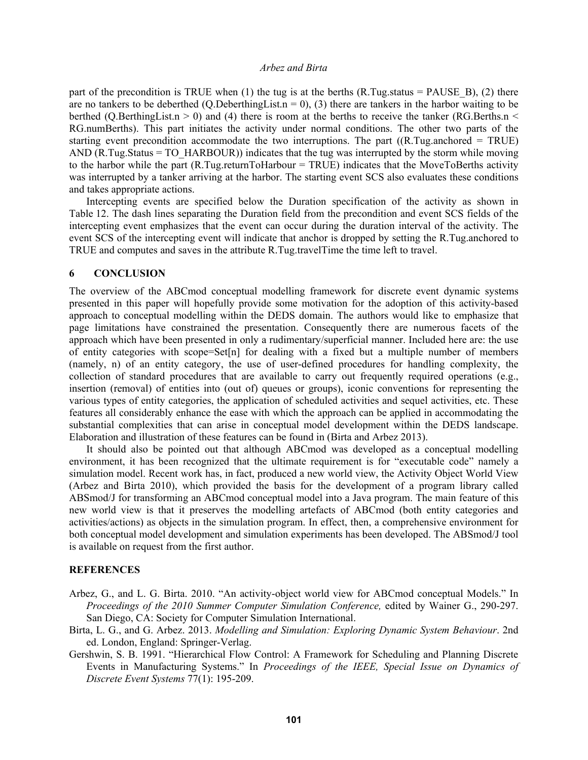part of the precondition is TRUE when  $(1)$  the tug is at the berths  $(R.Tug.status = PAUSEB)$ ,  $(2)$  there are no tankers to be deberthed (O.DeberthingList.n = 0), (3) there are tankers in the harbor waiting to be berthed (Q.BerthingList.n  $> 0$ ) and (4) there is room at the berths to receive the tanker (RG.Berths.n  $<$ RG.numBerths). This part initiates the activity under normal conditions. The other two parts of the starting event precondition accommodate the two interruptions. The part  $((R.Tug.^Tang.^TRUE))$ AND (R.Tug.Status = TO\_HARBOUR)) indicates that the tug was interrupted by the storm while moving to the harbor while the part (R.Tug.returnToHarbour = TRUE) indicates that the MoveToBerths activity was interrupted by a tanker arriving at the harbor. The starting event SCS also evaluates these conditions and takes appropriate actions.

Intercepting events are specified below the Duration specification of the activity as shown in Table 12. The dash lines separating the Duration field from the precondition and event SCS fields of the intercepting event emphasizes that the event can occur during the duration interval of the activity. The event SCS of the intercepting event will indicate that anchor is dropped by setting the R.Tug.anchored to TRUE and computes and saves in the attribute R.Tug.travelTime the time left to travel.

#### **6 CONCLUSION**

The overview of the ABCmod conceptual modelling framework for discrete event dynamic systems presented in this paper will hopefully provide some motivation for the adoption of this activity-based approach to conceptual modelling within the DEDS domain. The authors would like to emphasize that page limitations have constrained the presentation. Consequently there are numerous facets of the approach which have been presented in only a rudimentary/superficial manner. Included here are: the use of entity categories with scope=Set[n] for dealing with a fixed but a multiple number of members (namely, n) of an entity category, the use of user-defined procedures for handling complexity, the collection of standard procedures that are available to carry out frequently required operations (e.g., insertion (removal) of entities into (out of) queues or groups), iconic conventions for representing the various types of entity categories, the application of scheduled activities and sequel activities, etc. These features all considerably enhance the ease with which the approach can be applied in accommodating the substantial complexities that can arise in conceptual model development within the DEDS landscape. Elaboration and illustration of these features can be found in (Birta and Arbez 2013).

It should also be pointed out that although ABCmod was developed as a conceptual modelling environment, it has been recognized that the ultimate requirement is for "executable code" namely a simulation model. Recent work has, in fact, produced a new world view, the Activity Object World View (Arbez and Birta 2010), which provided the basis for the development of a program library called ABSmod/J for transforming an ABCmod conceptual model into a Java program. The main feature of this new world view is that it preserves the modelling artefacts of ABCmod (both entity categories and activities/actions) as objects in the simulation program. In effect, then, a comprehensive environment for both conceptual model development and simulation experiments has been developed. The ABSmod/J tool is available on request from the first author.

## **REFERENCES**

- Arbez, G., and L. G. Birta. 2010. "An activity-object world view for ABCmod conceptual Models." In *Proceedings of the 2010 Summer Computer Simulation Conference,* edited by Wainer G., 290-297. San Diego, CA: Society for Computer Simulation International.
- Birta, L. G., and G. Arbez. 2013. *Modelling and Simulation: Exploring Dynamic System Behaviour*. 2nd ed. London, England: Springer-Verlag.
- Gershwin, S. B. 1991. "Hierarchical Flow Control: A Framework for Scheduling and Planning Discrete Events in Manufacturing Systems." In *Proceedings of the IEEE, Special Issue on Dynamics of Discrete Event Systems* 77(1): 195-209.